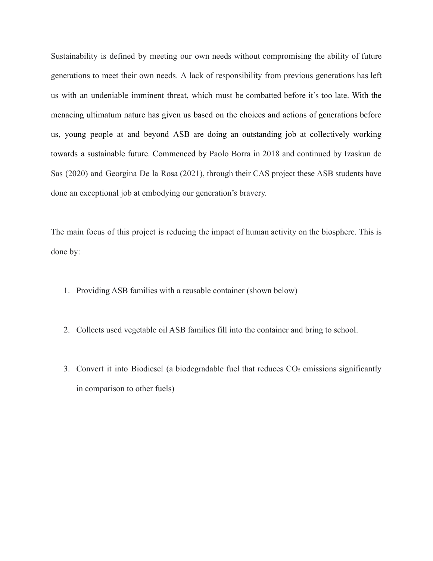Sustainability is defined by meeting our own needs without compromising the ability of future generations to meet their own needs. A lack of responsibility from previous generations has left us with an undeniable imminent threat, which must be combatted before it's too late. With the menacing ultimatum nature has given us based on the choices and actions of generations before us, young people at and beyond ASB are doing an outstanding job at collectively working towards a sustainable future. Commenced by Paolo Borra in 2018 and continued by Izaskun de Sas (2020) and Georgina De la Rosa (2021), through their CAS project these ASB students have done an exceptional job at embodying our generation's bravery.

The main focus of this project is reducing the impact of human activity on the biosphere. This is done by:

- 1. Providing ASB families with a reusable container (shown below)
- 2. Collects used vegetable oil ASB families fill into the container and bring to school.
- 3. Convert it into Biodiesel (a biodegradable fuel that reduces  $CO<sub>2</sub>$  emissions significantly in comparison to other fuels)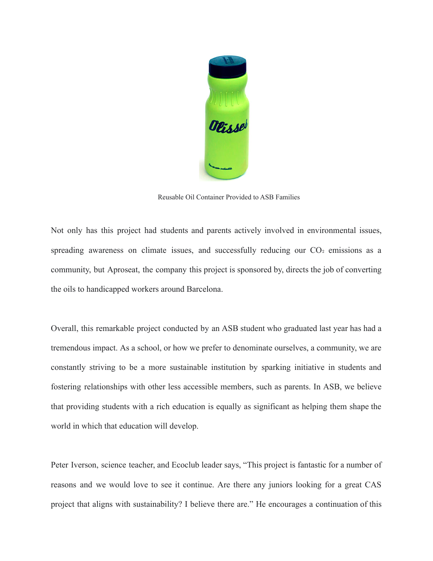

Reusable Oil Container Provided to ASB Families

Not only has this project had students and parents actively involved in environmental issues, spreading awareness on climate issues, and successfully reducing our  $CO<sub>2</sub>$  emissions as a community, but Aproseat, the company this project is sponsored by, directs the job of converting the oils to handicapped workers around Barcelona.

Overall, this remarkable project conducted by an ASB student who graduated last year has had a tremendous impact. As a school, or how we prefer to denominate ourselves, a community, we are constantly striving to be a more sustainable institution by sparking initiative in students and fostering relationships with other less accessible members, such as parents. In ASB, we believe that providing students with a rich education is equally as significant as helping them shape the world in which that education will develop.

Peter Iverson, science teacher, and Ecoclub leader says, "This project is fantastic for a number of reasons and we would love to see it continue. Are there any juniors looking for a great CAS project that aligns with sustainability? I believe there are." He encourages a continuation of this